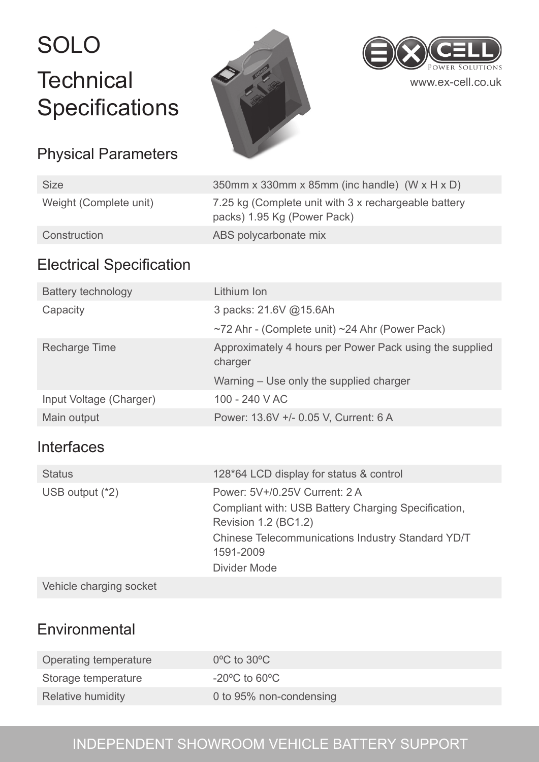# SOLO **Technical Specifications**

# Physical Parameters

Size 350mm x 330mm x 85mm (inc handle) (W x H x D) Weight (Complete unit) 7.25 kg (Complete unit with 3 x rechargeable battery packs) 1.95 Kg (Power Pack) Construction **ABS** polycarbonate mix

#### Electrical Specification

| Battery technology      | Lithium Ion                                                        |
|-------------------------|--------------------------------------------------------------------|
| Capacity                | 3 packs: 21.6V @15.6Ah                                             |
|                         | $\sim$ 72 Ahr - (Complete unit) $\sim$ 24 Ahr (Power Pack)         |
| Recharge Time           | Approximately 4 hours per Power Pack using the supplied<br>charger |
|                         | Warning – Use only the supplied charger                            |
| Input Voltage (Charger) | 100 - 240 V AC                                                     |
| Main output             | Power: 13.6V +/- 0.05 V, Current: 6 A                              |

#### Interfaces

| <b>Status</b>           | 128*64 LCD display for status & control                                                                      |
|-------------------------|--------------------------------------------------------------------------------------------------------------|
| USB output (*2)         | Power: 5V+/0.25V Current: 2 A<br>Compliant with: USB Battery Charging Specification,<br>Revision 1.2 (BC1.2) |
|                         | Chinese Telecommunications Industry Standard YD/T<br>1591-2009                                               |
|                         | Divider Mode                                                                                                 |
| Vehicle charging socket |                                                                                                              |

## Environmental

| Operating temperature | $0^{\circ}$ C to $30^{\circ}$ C |
|-----------------------|---------------------------------|
| Storage temperature   | -20°C to 60°C                   |
| Relative humidity     | 0 to 95% non-condensing         |

## INDEPENDENT SHOWROOM VEHICLE BATTERY SUPPORT